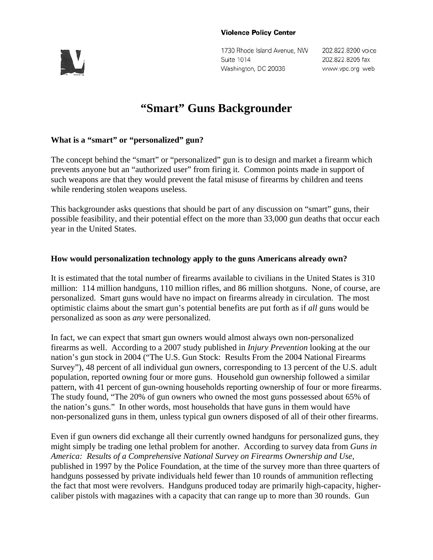#### **Violence Policy Center**



1730 Rhode Island Avenue, NW Suite 1014 Washington, DC 20036

202.822.8200 voice 202.822.8205 fax www.vpc.org web

# **"Smart" Guns Backgrounder**

# **What is a "smart" or "personalized" gun?**

The concept behind the "smart" or "personalized" gun is to design and market a firearm which prevents anyone but an "authorized user" from firing it. Common points made in support of such weapons are that they would prevent the fatal misuse of firearms by children and teens while rendering stolen weapons useless.

This backgrounder asks questions that should be part of any discussion on "smart" guns, their possible feasibility, and their potential effect on the more than 33,000 gun deaths that occur each year in the United States.

### **How would personalization technology apply to the guns Americans already own?**

It is estimated that the total number of firearms available to civilians in the United States is 310 million: 114 million handguns, 110 million rifles, and 86 million shotguns. None, of course, are personalized. Smart guns would have no impact on firearms already in circulation. The most optimistic claims about the smart gun's potential benefits are put forth as if *all* guns would be personalized as soon as *any* were personalized.

In fact, we can expect that smart gun owners would almost always own non-personalized firearms as well. According to a 2007 study published in *Injury Prevention* looking at the our nation's gun stock in 2004 ("The U.S. Gun Stock: Results From the 2004 National Firearms Survey"), 48 percent of all individual gun owners, corresponding to 13 percent of the U.S. adult population, reported owning four or more guns. Household gun ownership followed a similar pattern, with 41 percent of gun-owning households reporting ownership of four or more firearms. The study found, "The 20% of gun owners who owned the most guns possessed about 65% of the nation's guns." In other words, most households that have guns in them would have non-personalized guns in them, unless typical gun owners disposed of all of their other firearms.

Even if gun owners did exchange all their currently owned handguns for personalized guns, they might simply be trading one lethal problem for another. According to survey data from *Guns in America: Results of a Comprehensive National Survey on Firearms Ownership and Use*, published in 1997 by the Police Foundation, at the time of the survey more than three quarters of handguns possessed by private individuals held fewer than 10 rounds of ammunition reflecting the fact that most were revolvers. Handguns produced today are primarily high-capacity, highercaliber pistols with magazines with a capacity that can range up to more than 30 rounds. Gun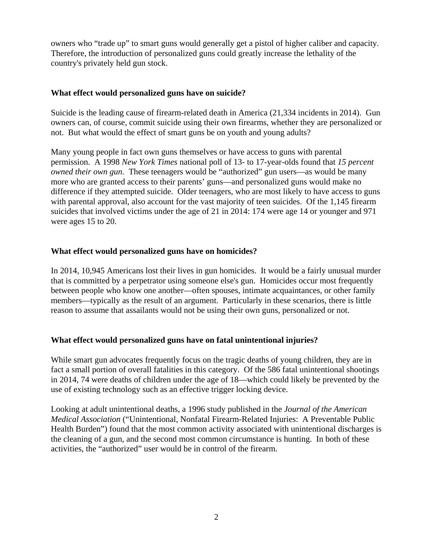owners who "trade up" to smart guns would generally get a pistol of higher caliber and capacity. Therefore, the introduction of personalized guns could greatly increase the lethality of the country's privately held gun stock.

### **What effect would personalized guns have on suicide?**

Suicide is the leading cause of firearm-related death in America (21,334 incidents in 2014). Gun owners can, of course, commit suicide using their own firearms, whether they are personalized or not. But what would the effect of smart guns be on youth and young adults?

Many young people in fact own guns themselves or have access to guns with parental permission. A 1998 *New York Times* national poll of 13- to 17-year-olds found that *15 percent owned their own gun*. These teenagers would be "authorized" gun users—as would be many more who are granted access to their parents' guns—and personalized guns would make no difference if they attempted suicide. Older teenagers, who are most likely to have access to guns with parental approval, also account for the vast majority of teen suicides. Of the 1,145 firearm suicides that involved victims under the age of 21 in 2014: 174 were age 14 or younger and 971 were ages 15 to 20.

# **What effect would personalized guns have on homicides?**

In 2014, 10,945 Americans lost their lives in gun homicides. It would be a fairly unusual murder that is committed by a perpetrator using someone else's gun. Homicides occur most frequently between people who know one another—often spouses, intimate acquaintances, or other family members—typically as the result of an argument. Particularly in these scenarios, there is little reason to assume that assailants would not be using their own guns, personalized or not.

# **What effect would personalized guns have on fatal unintentional injuries?**

While smart gun advocates frequently focus on the tragic deaths of young children, they are in fact a small portion of overall fatalities in this category. Of the 586 fatal unintentional shootings in 2014, 74 were deaths of children under the age of 18—which could likely be prevented by the use of existing technology such as an effective trigger locking device.

Looking at adult unintentional deaths, a 1996 study published in the *Journal of the American Medical Association* ("Unintentional, Nonfatal Firearm-Related Injuries: A Preventable Public Health Burden") found that the most common activity associated with unintentional discharges is the cleaning of a gun, and the second most common circumstance is hunting. In both of these activities, the "authorized" user would be in control of the firearm.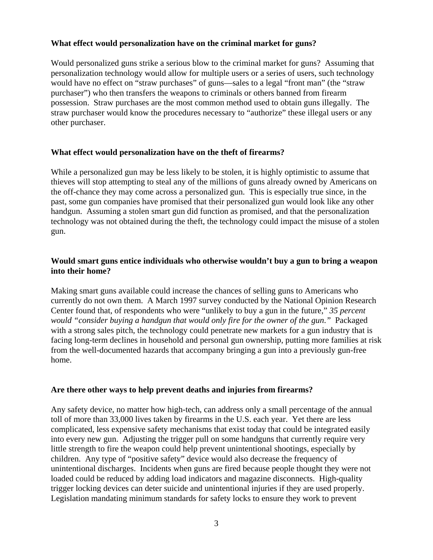### **What effect would personalization have on the criminal market for guns?**

Would personalized guns strike a serious blow to the criminal market for guns? Assuming that personalization technology would allow for multiple users or a series of users, such technology would have no effect on "straw purchases" of guns—sales to a legal "front man" (the "straw purchaser") who then transfers the weapons to criminals or others banned from firearm possession. Straw purchases are the most common method used to obtain guns illegally. The straw purchaser would know the procedures necessary to "authorize" these illegal users or any other purchaser.

# **What effect would personalization have on the theft of firearms?**

While a personalized gun may be less likely to be stolen, it is highly optimistic to assume that thieves will stop attempting to steal any of the millions of guns already owned by Americans on the off-chance they may come across a personalized gun. This is especially true since, in the past, some gun companies have promised that their personalized gun would look like any other handgun. Assuming a stolen smart gun did function as promised, and that the personalization technology was not obtained during the theft, the technology could impact the misuse of a stolen gun.

### **Would smart guns entice individuals who otherwise wouldn't buy a gun to bring a weapon into their home?**

Making smart guns available could increase the chances of selling guns to Americans who currently do not own them. A March 1997 survey conducted by the National Opinion Research Center found that, of respondents who were "unlikely to buy a gun in the future," *35 percent would "consider buying a handgun that would only fire for the owner of the gun*.*"* Packaged with a strong sales pitch, the technology could penetrate new markets for a gun industry that is facing long-term declines in household and personal gun ownership, putting more families at risk from the well-documented hazards that accompany bringing a gun into a previously gun-free home.

# **Are there other ways to help prevent deaths and injuries from firearms?**

Any safety device, no matter how high-tech, can address only a small percentage of the annual toll of more than 33,000 lives taken by firearms in the U.S. each year. Yet there are less complicated, less expensive safety mechanisms that exist today that could be integrated easily into every new gun. Adjusting the trigger pull on some handguns that currently require very little strength to fire the weapon could help prevent unintentional shootings, especially by children. Any type of "positive safety" device would also decrease the frequency of unintentional discharges. Incidents when guns are fired because people thought they were not loaded could be reduced by adding load indicators and magazine disconnects. High-quality trigger locking devices can deter suicide and unintentional injuries if they are used properly. Legislation mandating minimum standards for safety locks to ensure they work to prevent